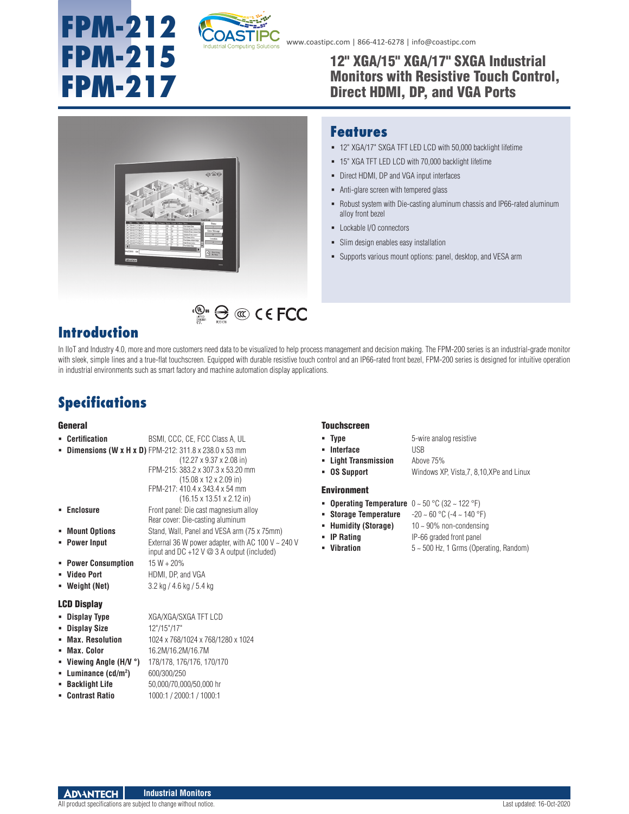

**EXECUTE:**  $\bigoplus$  **CO** C E FCC

www.coastipc.com | 866-412-6278 | info@coastipc.com

## 12" XGA/15" XGA/17" SXGA Industrial Monitors with Resistive Touch Control, Direct HDMI, DP, and VGA Ports



### **Features**

- 12" XGA/17" SXGA TFT LED LCD with 50,000 backlight lifetime
- 15" XGA TFT LED LCD with 70,000 backlight lifetime
- Direct HDMI, DP and VGA input interfaces
- Anti-glare screen with tempered glass
- Robust system with Die-casting aluminum chassis and IP66-rated aluminum alloy front bezel
- Lockable I/O connectors
- Slim design enables easy installation
- Supports various mount options: panel, desktop, and VESA arm

# **Introduction**

In IIoT and Industry 4.0, more and more customers need data to be visualized to help process management and decision making. The FPM-200 series is an industrial-grade monitor with sleek, simple lines and a true-flat touchscreen. Equipped with durable resistive touch control and an IP66-rated front bezel, FPM-200 series is designed for intuitive operation in industrial environments such as smart factory and machine automation display applications.

# **Specifications**

#### **General**

#### **Certification** BSMI, CCC, CE, FCC Class A, UL **Dimensions (W x H x D)** FPM-212: 311.8 x 238.0 x 53 mm (12.27 x 9.37 x 2.08 in) FPM-215: 383.2 x 307.3 x 53.20 mm (15.08 x 12 x 2.09 in) FPM-217: 410.4 x 343.4 x 54 mm (16.15 x 13.51 x 2.12 in) **Enclosure Front panel: Die cast magnesium alloy** Rear cover: Die-casting aluminum **Mount Options** Stand, Wall, Panel and VESA arm (75 x 75mm) **Power Input** External 36 W power adapter, with AC 100 V ~ 240 V input and DC +12 V @ 3 A output (included) **Power Consumption** 15 W + 20% **Video Port** HDMI, DP, and VGA **Weight (Net)** 3.2 kg / 4.6 kg / 5.4 kg

- LCD Display
- **Display Type** XGA/XGA/SXGA TFT LCD
- **Display Size** 12"/15"/17"
	-
- **Max. Resolution** 1024 x 768/1024 x 768/1280 x 1024
- **Max. Color** 16.2M/16.2M/16.7M
- **Viewing Angle (H/V °)** 178/178, 176/176, 170/170
- **Luminance (cd/m2 )** 600/300/250
- **Backlight Life** 50,000/70,000/50,000 hr
- **Contrast Ratio** 1000:1 / 2000:1 / 1000:1

#### Touchscreen

- **Type** 5-wire analog resistive
- **Interface** USB
- 
- **Light Transmission** Above 75%
- **OS Support** Windows XP, Vista,7, 8,10,XPe and Linux

#### Environment

- **Operating Temperature** 0 ~ 50 °C (32 ~ 122 °F)
- **Storage Temperature** -20 ~ 60 °C (-4 ~ 140 °F)
- **Humidity (Storage)** 10 ~ 90% non-condensing
- **IP Rating** IP-66 graded front panel
- 
- **Vibration** 5 ~ 500 Hz, 1 Grms (Operating, Random)

**Industrial Monitors ADVANTECH** 

All product specifications are subject to change without notice. Last updated: 16-Oct-2020